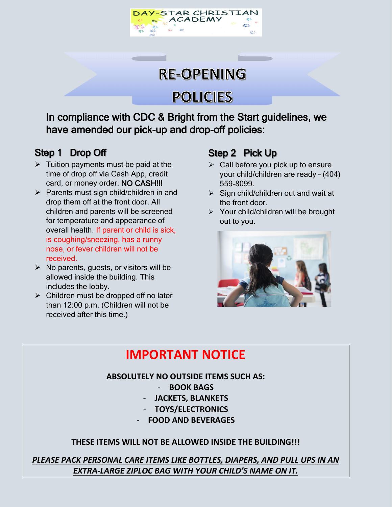



# **POLICIES**

In compliance with CDC & Bright from the Start guidelines, we have amended our pick-up and drop-off policies:

### Step 1 Drop Off

- $\triangleright$  Tuition payments must be paid at the time of drop off via Cash App, credit card, or money order. NO CASH!!!
- $\triangleright$  Parents must sign child/children in and drop them off at the front door. All children and parents will be screened for temperature and appearance of overall health. If parent or child is sick, is coughing/sneezing, has a runny nose, or fever children will not be received.
- $\triangleright$  No parents, quests, or visitors will be allowed inside the building. This includes the lobby.
- $\triangleright$  Children must be dropped off no later than 12:00 p.m. (Children will not be received after this time.)

### Step 2 Pick Up

- $\triangleright$  Call before you pick up to ensure your child/children are ready – (404) 559-8099.
- $\triangleright$  Sign child/children out and wait at the front door.
- Your child/children will be brought out to you.



## **IMPORTANT NOTICE**

#### **ABSOLUTELY NO OUTSIDE ITEMS SUCH AS:**

- **BOOK BAGS**
- **JACKETS, BLANKETS**
- **TOYS/ELECTRONICS**
- **FOOD AND BEVERAGES**

#### **THESE ITEMS WILL NOT BE ALLOWED INSIDE THE BUILDING!!!**

*PLEASE PACK PERSONAL CARE ITEMS LIKE BOTTLES, DIAPERS, AND PULL UPS IN AN EXTRA-LARGE ZIPLOC BAG WITH YOUR CHILD'S NAME ON IT.*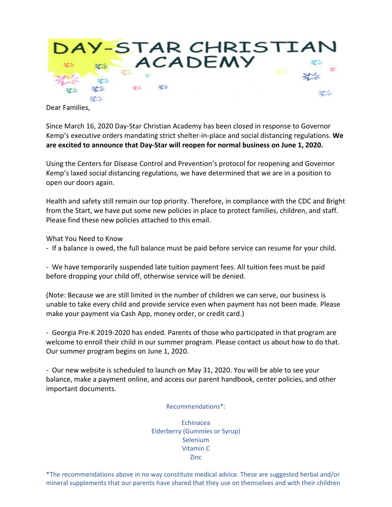

Dear Families,

Since March 16, 2020 Day-Star Christian Academy has been closed in response to Governor Kemp's executive orders mandating strict shelter-in-place and social distancing regulations. **We are excited to announce that Day-Star will reopen for normal business on June 1, 2020.**

Using the Centers for Disease Control and Prevention's protocol for reopening and Governor Kemp's laxed social distancing regulations, we have determined that we are in a position to open our doors again.

Health and safety still remain our top priority. Therefore, in compliance with the CDC and Bright from the Start, we have put some new policies in place to protect families, children, and staff. Please find these new policies attached to this email.

What You Need to Know

- If a balance is owed, the full balance must be paid before service can resume for your child.

- We have temporarily suspended late tuition payment fees. All tuition fees must be paid before dropping your child off, otherwise service will be denied.

(Note: Because we are still limited in the number of children we can serve, our business is unable to take every child and provide service even when payment has not been made. Please make your payment via Cash App, money order, or credit card.)

- Georgia Pre-K 2019-2020 has ended. Parents of those who participated in that program are welcome to enroll their child in our summer program. Please contact us about how to do that. Our summer program begins on June 1, 2020.

- Our new website is scheduled to launch on May 31, 2020. You will be able to see your balance, make a payment online, and access our parent handbook, center policies, and other important documents.

Recommendations\*:

Echinacea Elderberry (Gummies or Syrup) Selenium Vitamin C Zinc

\*The recommendations above in no way constitute medical advice. These are suggested herbal and/or mineral supplements that our parents have shared that they use on themselves and with their children